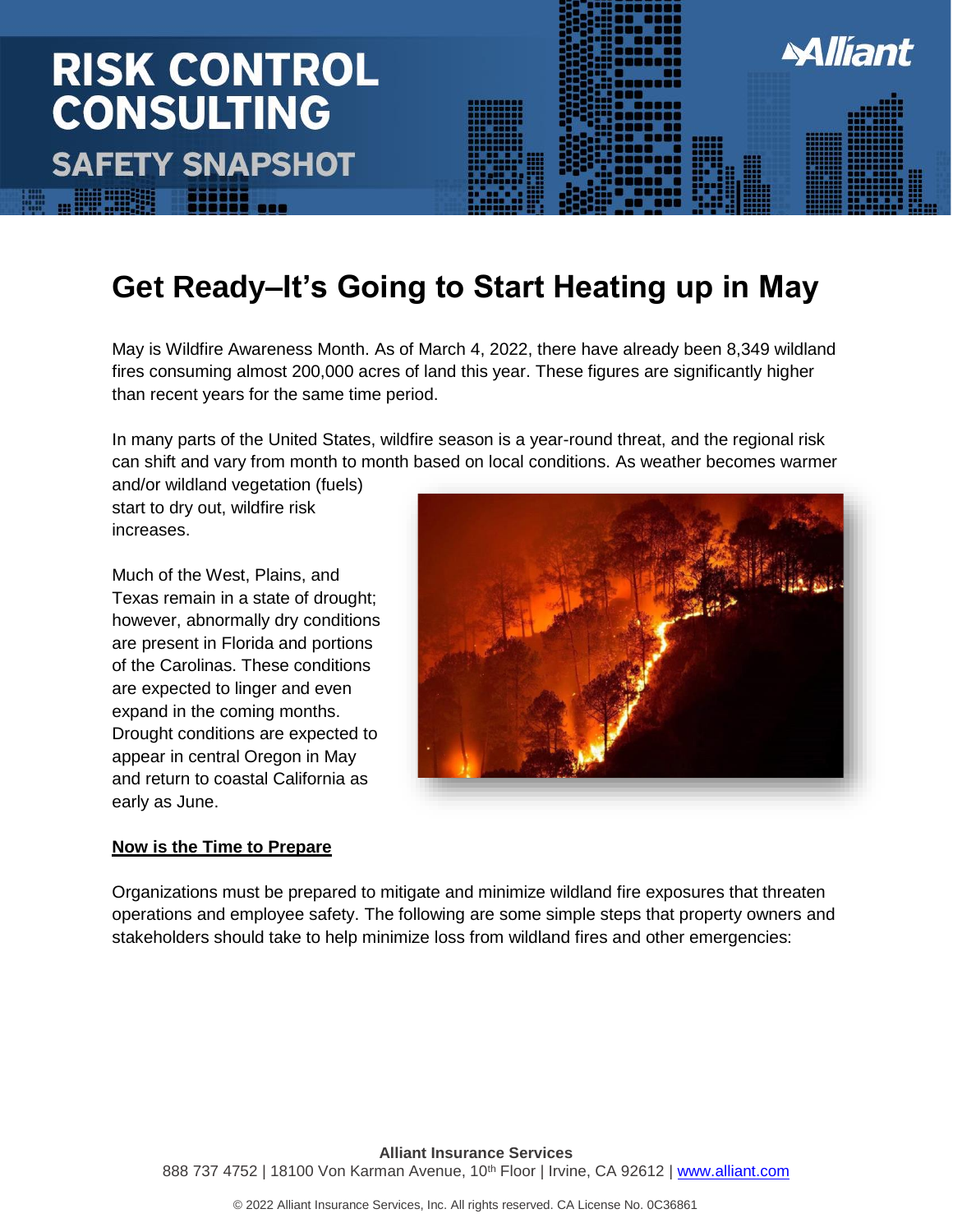## **Miliant RISK CONTROL CONSULTING SAFETY SNAPSHOT**

### **Get Ready–It's Going to Start Heating up in May**

May is Wildfire Awareness Month. As of March 4, 2022, there have already been 8,349 wildland fires consuming almost 200,000 acres of land this year. These figures are significantly higher than recent years for the same time period.

In many parts of the United States, wildfire season is a year-round threat, and the regional risk can shift and vary from month to month based on local conditions. As weather becomes warmer

and/or wildland vegetation (fuels) start to dry out, wildfire risk increases.

Much of the West, Plains, and Texas remain in a state of drought; however, abnormally dry conditions are present in Florida and portions of the Carolinas. These conditions are expected to linger and even expand in the coming months. Drought conditions are expected to appear in central Oregon in May and return to coastal California as early as June.

#### **Now is the Time to Prepare**



Organizations must be prepared to mitigate and minimize wildland fire exposures that threaten operations and employee safety. The following are some simple steps that property owners and stakeholders should take to help minimize loss from wildland fires and other emergencies: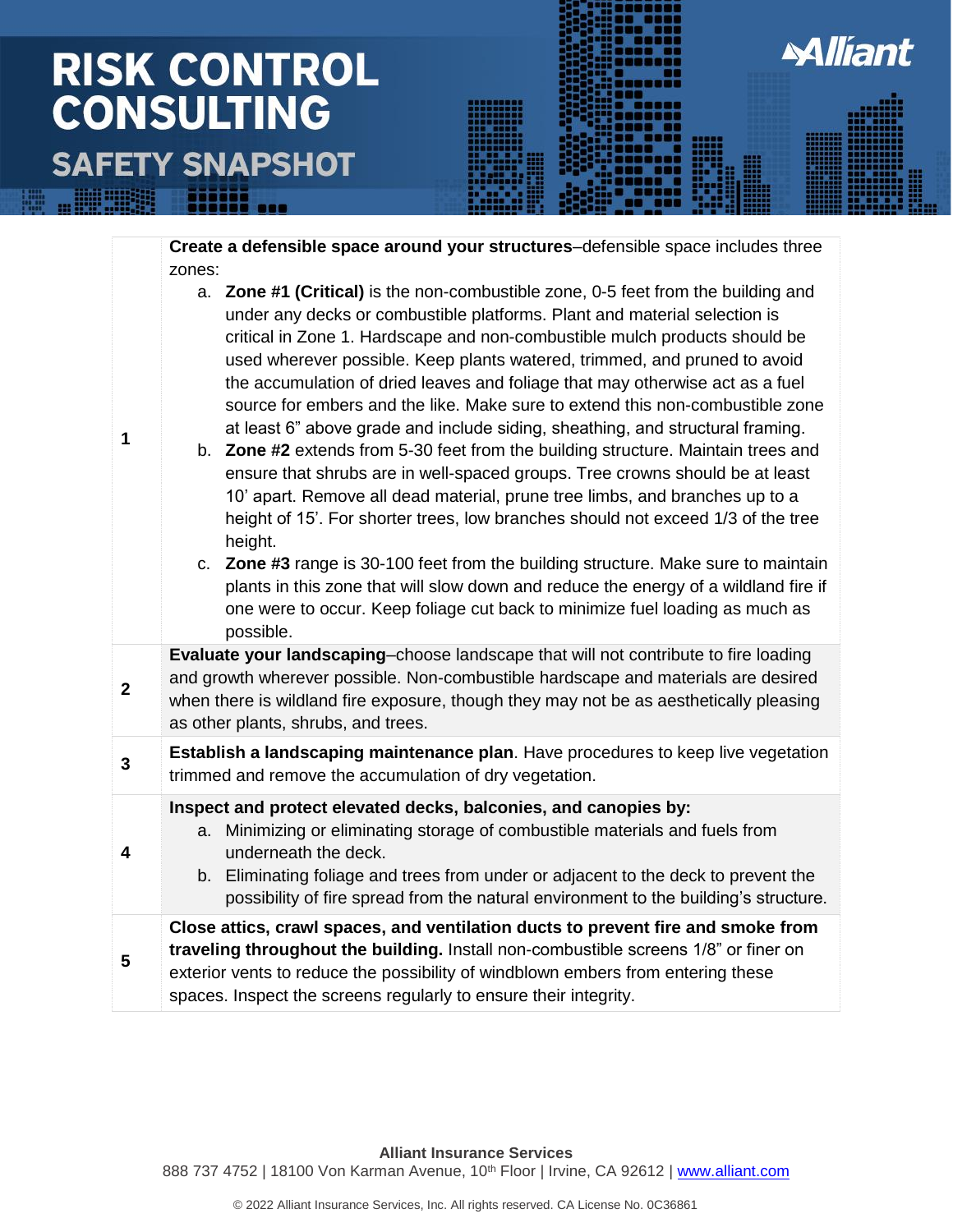## **RISK CONTROL CONSULTING SAFETY SNAPSHOT**



**Miliant** 

**Alliant Insurance Services** 888 737 4752 | 18100 Von Karman Avenue, 10<sup>th</sup> Floor | Irvine, CA 92612 | [www.alliant.com](http://www.alliant.com/)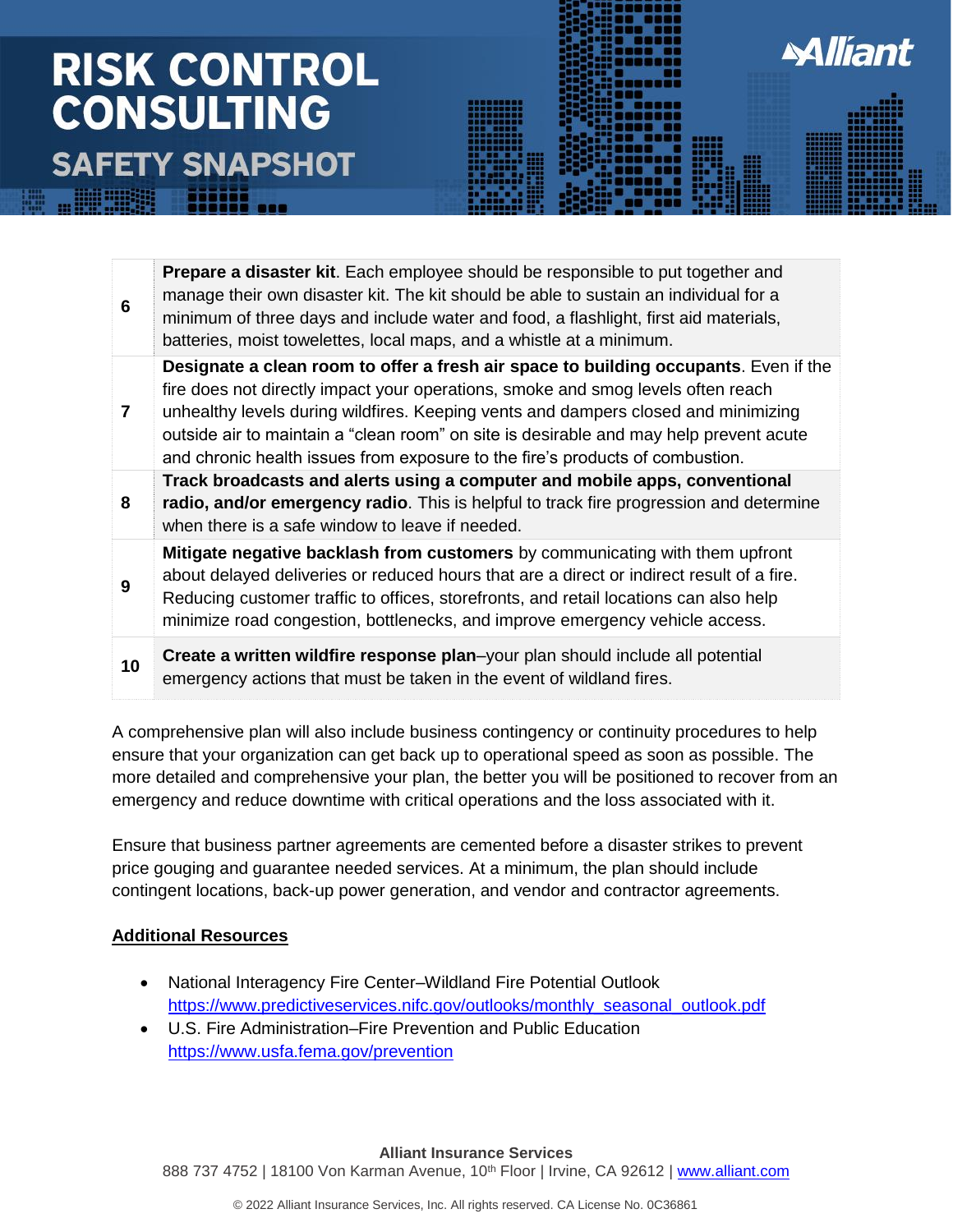## **RISK CONTROL CONSULTING SAFETY SNAPSHOT**

| 6  | <b>Prepare a disaster kit.</b> Each employee should be responsible to put together and<br>manage their own disaster kit. The kit should be able to sustain an individual for a<br>minimum of three days and include water and food, a flashlight, first aid materials,<br>batteries, moist towelettes, local maps, and a whistle at a minimum.                                                                                            |
|----|-------------------------------------------------------------------------------------------------------------------------------------------------------------------------------------------------------------------------------------------------------------------------------------------------------------------------------------------------------------------------------------------------------------------------------------------|
| 7  | Designate a clean room to offer a fresh air space to building occupants. Even if the<br>fire does not directly impact your operations, smoke and smog levels often reach<br>unhealthy levels during wildfires. Keeping vents and dampers closed and minimizing<br>outside air to maintain a "clean room" on site is desirable and may help prevent acute<br>and chronic health issues from exposure to the fire's products of combustion. |
| 8  | Track broadcasts and alerts using a computer and mobile apps, conventional<br>radio, and/or emergency radio. This is helpful to track fire progression and determine<br>when there is a safe window to leave if needed.                                                                                                                                                                                                                   |
| 9  | Mitigate negative backlash from customers by communicating with them upfront<br>about delayed deliveries or reduced hours that are a direct or indirect result of a fire.<br>Reducing customer traffic to offices, storefronts, and retail locations can also help<br>minimize road congestion, bottlenecks, and improve emergency vehicle access.                                                                                        |
| 10 | Create a written wildfire response plan-your plan should include all potential<br>emergency actions that must be taken in the event of wildland fires.                                                                                                                                                                                                                                                                                    |

**Alliant** 

A comprehensive plan will also include business contingency or continuity procedures to help ensure that your organization can get back up to operational speed as soon as possible. The more detailed and comprehensive your plan, the better you will be positioned to recover from an emergency and reduce downtime with critical operations and the loss associated with it.

Ensure that business partner agreements are cemented before a disaster strikes to prevent price gouging and guarantee needed services. At a minimum, the plan should include contingent locations, back-up power generation, and vendor and contractor agreements.

#### **Additional Resources**

- National Interagency Fire Center–Wildland Fire Potential Outlook [https://www.predictiveservices.nifc.gov/outlooks/monthly\\_seasonal\\_outlook.pdf](https://www.predictiveservices.nifc.gov/outlooks/monthly_seasonal_outlook.pdf)
- U.S. Fire Administration–Fire Prevention and Public Education <https://www.usfa.fema.gov/prevention>

**Alliant Insurance Services** 888 737 4752 | 18100 Von Karman Avenue, 10<sup>th</sup> Floor | Irvine, CA 92612 | [www.alliant.com](http://www.alliant.com/)